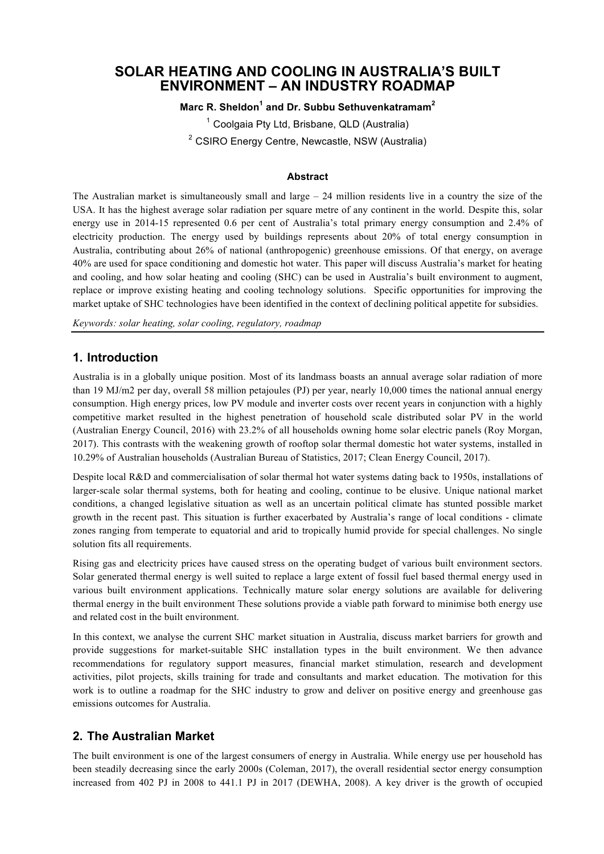# **SOLAR HEATING AND COOLING IN AUSTRALIA'S BUILT ENVIRONMENT – AN INDUSTRY ROADMAP**

## **Marc R. Sheldon<sup>1</sup> and Dr. Subbu Sethuvenkatramam<sup>2</sup>**

<sup>1</sup> Coolgaia Pty Ltd, Brisbane, QLD (Australia)

 $2$  CSIRO Energy Centre, Newcastle, NSW (Australia)

#### **Abstract**

The Australian market is simultaneously small and large  $-24$  million residents live in a country the size of the USA. It has the highest average solar radiation per square metre of any continent in the world. Despite this, solar energy use in 2014-15 represented 0.6 per cent of Australia's total primary energy consumption and 2.4% of electricity production. The energy used by buildings represents about 20% of total energy consumption in Australia, contributing about 26% of national (anthropogenic) greenhouse emissions. Of that energy, on average 40% are used for space conditioning and domestic hot water. This paper will discuss Australia's market for heating and cooling, and how solar heating and cooling (SHC) can be used in Australia's built environment to augment, replace or improve existing heating and cooling technology solutions. Specific opportunities for improving the market uptake of SHC technologies have been identified in the context of declining political appetite for subsidies.

*Keywords: solar heating, solar cooling, regulatory, roadmap* 

## **1. Introduction**

Australia is in a globally unique position. Most of its landmass boasts an annual average solar radiation of more than 19 MJ/m2 per day, overall 58 million petajoules (PJ) per year, nearly 10,000 times the national annual energy consumption. High energy prices, low PV module and inverter costs over recent years in conjunction with a highly competitive market resulted in the highest penetration of household scale distributed solar PV in the world (Australian Energy Council, 2016) with 23.2% of all households owning home solar electric panels (Roy Morgan, 2017). This contrasts with the weakening growth of rooftop solar thermal domestic hot water systems, installed in 10.29% of Australian households (Australian Bureau of Statistics, 2017; Clean Energy Council, 2017).

Despite local R&D and commercialisation of solar thermal hot water systems dating back to 1950s, installations of larger-scale solar thermal systems, both for heating and cooling, continue to be elusive. Unique national market conditions, a changed legislative situation as well as an uncertain political climate has stunted possible market growth in the recent past. This situation is further exacerbated by Australia's range of local conditions - climate zones ranging from temperate to equatorial and arid to tropically humid provide for special challenges. No single solution fits all requirements.

Rising gas and electricity prices have caused stress on the operating budget of various built environment sectors. Solar generated thermal energy is well suited to replace a large extent of fossil fuel based thermal energy used in various built environment applications. Technically mature solar energy solutions are available for delivering thermal energy in the built environment These solutions provide a viable path forward to minimise both energy use and related cost in the built environment.

In this context, we analyse the current SHC market situation in Australia, discuss market barriers for growth and provide suggestions for market-suitable SHC installation types in the built environment. We then advance recommendations for regulatory support measures, financial market stimulation, research and development activities, pilot projects, skills training for trade and consultants and market education. The motivation for this work is to outline a roadmap for the SHC industry to grow and deliver on positive energy and greenhouse gas emissions outcomes for Australia.

## **2. The Australian Market**

The built environment is one of the largest consumers of energy in Australia. While energy use per household has been steadily decreasing since the early 2000s (Coleman, 2017), the overall residential sector energy consumption increased from 402 PJ in 2008 to 441.1 PJ in 2017 (DEWHA, 2008). A key driver is the growth of occupied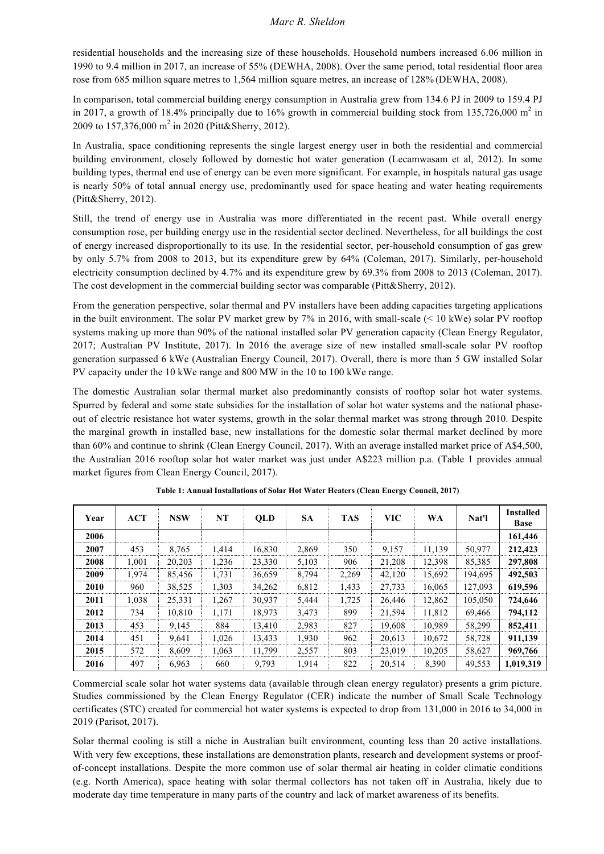residential households and the increasing size of these households. Household numbers increased 6.06 million in 1990 to 9.4 million in 2017, an increase of 55% (DEWHA, 2008). Over the same period, total residential floor area rose from 685 million square metres to 1,564 million square metres, an increase of 128% (DEWHA, 2008).

In comparison, total commercial building energy consumption in Australia grew from 134.6 PJ in 2009 to 159.4 PJ in 2017, a growth of 18.4% principally due to 16% growth in commercial building stock from 135,726,000 m<sup>2</sup> in 2009 to 157,376,000 m<sup>2</sup> in 2020 (Pitt&Sherry, 2012).

In Australia, space conditioning represents the single largest energy user in both the residential and commercial building environment, closely followed by domestic hot water generation (Lecamwasam et al, 2012). In some building types, thermal end use of energy can be even more significant. For example, in hospitals natural gas usage is nearly 50% of total annual energy use, predominantly used for space heating and water heating requirements (Pitt&Sherry, 2012).

Still, the trend of energy use in Australia was more differentiated in the recent past. While overall energy consumption rose, per building energy use in the residential sector declined. Nevertheless, for all buildings the cost of energy increased disproportionally to its use. In the residential sector, per-household consumption of gas grew by only 5.7% from 2008 to 2013, but its expenditure grew by 64% (Coleman, 2017). Similarly, per-household electricity consumption declined by 4.7% and its expenditure grew by 69.3% from 2008 to 2013 (Coleman, 2017). The cost development in the commercial building sector was comparable (Pitt&Sherry, 2012).

From the generation perspective, solar thermal and PV installers have been adding capacities targeting applications in the built environment. The solar PV market grew by 7% in 2016, with small-scale (< 10 kWe) solar PV rooftop systems making up more than 90% of the national installed solar PV generation capacity (Clean Energy Regulator, 2017; Australian PV Institute, 2017). In 2016 the average size of new installed small-scale solar PV rooftop generation surpassed 6 kWe (Australian Energy Council, 2017). Overall, there is more than 5 GW installed Solar PV capacity under the 10 kWe range and 800 MW in the 10 to 100 kWe range.

The domestic Australian solar thermal market also predominantly consists of rooftop solar hot water systems. Spurred by federal and some state subsidies for the installation of solar hot water systems and the national phaseout of electric resistance hot water systems, growth in the solar thermal market was strong through 2010. Despite the marginal growth in installed base, new installations for the domestic solar thermal market declined by more than 60% and continue to shrink (Clean Energy Council, 2017). With an average installed market price of A\$4,500, the Australian 2016 rooftop solar hot water market was just under A\$223 million p.a. (Table 1 provides annual market figures from Clean Energy Council, 2017).

| Year | <b>ACT</b> | <b>NSW</b> | NT    | <b>QLD</b> | <b>SA</b> | <b>TAS</b> | <b>VIC</b> | <b>WA</b> | Nat'l   | <b>Installed</b><br><b>Base</b> |
|------|------------|------------|-------|------------|-----------|------------|------------|-----------|---------|---------------------------------|
| 2006 |            |            |       |            |           |            |            |           |         | 161,446                         |
| 2007 | 453        | 8,765      | 1.414 | 16,830     | 2,869     | 350        | 9,157      | 11,139    | 50,977  | 212,423                         |
| 2008 | 1,001      | 20,203     | 1,236 | 23,330     | 5,103     | 906        | 21,208     | 12,398    | 85,385  | 297,808                         |
| 2009 | 1,974      | 85,456     | 1,731 | 36,659     | 8,794     | 2,269      | 42,120     | 15,692    | 194,695 | 492,503                         |
| 2010 | 960        | 38,525     | 1,303 | 34,262     | 6,812     | 1,433      | 27,733     | 16,065    | 127,093 | 619,596                         |
| 2011 | 1,038      | 25,331     | 1,267 | 30,937     | 5,444     | 1,725      | 26,446     | 12,862    | 105,050 | 724,646                         |
| 2012 | 734        | 10.810     | 1.171 | 18.973     | 3.473     | 899        | 21,594     | 11.812    | 69.466  | 794.112                         |
| 2013 | 453        | 9,145      | 884   | 13,410     | 2,983     | 827        | 19,608     | 10,989    | 58,299  | 852,411                         |
| 2014 | 451        | 9.641      | 1,026 | 13,433     | 1,930     | 962        | 20,613     | 10,672    | 58,728  | 911,139                         |
| 2015 | 572        | 8.609      | 1,063 | 11,799     | 2,557     | 803        | 23,019     | 10,205    | 58,627  | 969,766                         |
| 2016 | 497        | 6.963      | 660   | 9,793      | 1.914     | 822        | 20,514     | 8,390     | 49.553  | 1,019,319                       |

**Table 1: Annual Installations of Solar Hot Water Heaters (Clean Energy Council, 2017)**

Commercial scale solar hot water systems data (available through clean energy regulator) presents a grim picture. Studies commissioned by the Clean Energy Regulator (CER) indicate the number of Small Scale Technology certificates (STC) created for commercial hot water systems is expected to drop from 131,000 in 2016 to 34,000 in 2019 (Parisot, 2017).

Solar thermal cooling is still a niche in Australian built environment, counting less than 20 active installations. With very few exceptions, these installations are demonstration plants, research and development systems or proofof-concept installations. Despite the more common use of solar thermal air heating in colder climatic conditions (e.g. North America), space heating with solar thermal collectors has not taken off in Australia, likely due to moderate day time temperature in many parts of the country and lack of market awareness of its benefits.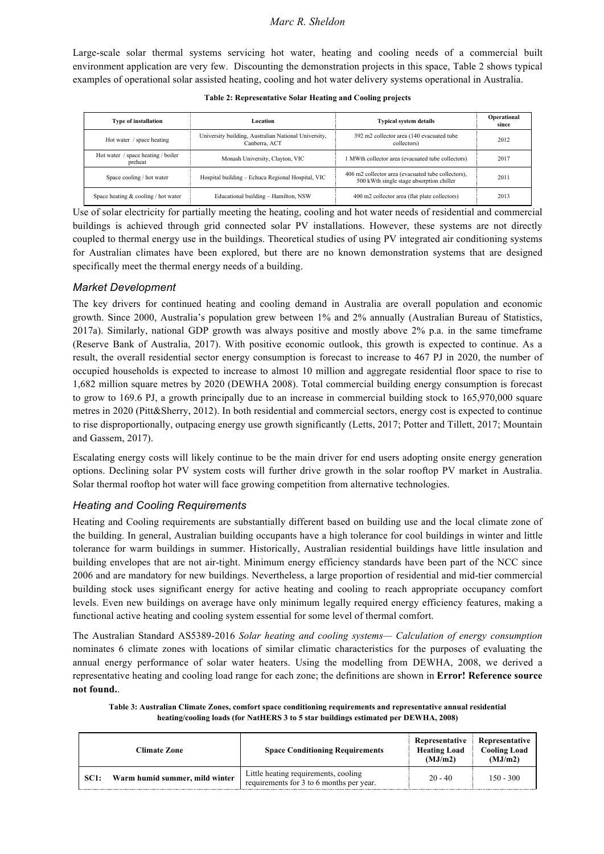Large-scale solar thermal systems servicing hot water, heating and cooling needs of a commercial built environment application are very few. Discounting the demonstration projects in this space, Table 2 shows typical examples of operational solar assisted heating, cooling and hot water delivery systems operational in Australia.

| <b>Type of installation</b>                    | Location                                                              | <b>Typical system details</b>                                                                  | Operational<br>since |
|------------------------------------------------|-----------------------------------------------------------------------|------------------------------------------------------------------------------------------------|----------------------|
| Hot water / space heating                      | University building, Australian National University,<br>Canberra, ACT | 392 m2 collector area (140 evacuated tube)<br>collectors)                                      | 2012                 |
| space heating / boiler<br>Hot water<br>preheat | Monash University, Clayton, VIC                                       | 1 MWth collector area (evacuated tube collectors)                                              | 2017                 |
| Space cooling / hot water                      | Hospital building - Echuca Regional Hospital, VIC                     | 406 m2 collector area (evacuated tube collectors),<br>500 kWth single stage absorption chiller | 2011                 |
| Space heating $&$ cooling / hot water          | Educational building - Hamilton, NSW                                  | 400 m2 collector area (flat plate collectors)                                                  | 2013                 |

**Table 2: Representative Solar Heating and Cooling projects**

Use of solar electricity for partially meeting the heating, cooling and hot water needs of residential and commercial buildings is achieved through grid connected solar PV installations. However, these systems are not directly coupled to thermal energy use in the buildings. Theoretical studies of using PV integrated air conditioning systems for Australian climates have been explored, but there are no known demonstration systems that are designed specifically meet the thermal energy needs of a building.

## *Market Development*

The key drivers for continued heating and cooling demand in Australia are overall population and economic growth. Since 2000, Australia's population grew between 1% and 2% annually (Australian Bureau of Statistics, 2017a). Similarly, national GDP growth was always positive and mostly above 2% p.a. in the same timeframe (Reserve Bank of Australia, 2017). With positive economic outlook, this growth is expected to continue. As a result, the overall residential sector energy consumption is forecast to increase to 467 PJ in 2020, the number of occupied households is expected to increase to almost 10 million and aggregate residential floor space to rise to 1,682 million square metres by 2020 (DEWHA 2008). Total commercial building energy consumption is forecast to grow to 169.6 PJ, a growth principally due to an increase in commercial building stock to 165,970,000 square metres in 2020 (Pitt&Sherry, 2012). In both residential and commercial sectors, energy cost is expected to continue to rise disproportionally, outpacing energy use growth significantly (Letts, 2017; Potter and Tillett, 2017; Mountain and Gassem, 2017).

Escalating energy costs will likely continue to be the main driver for end users adopting onsite energy generation options. Declining solar PV system costs will further drive growth in the solar rooftop PV market in Australia. Solar thermal rooftop hot water will face growing competition from alternative technologies.

## *Heating and Cooling Requirements*

Heating and Cooling requirements are substantially different based on building use and the local climate zone of the building. In general, Australian building occupants have a high tolerance for cool buildings in winter and little tolerance for warm buildings in summer. Historically, Australian residential buildings have little insulation and building envelopes that are not air-tight. Minimum energy efficiency standards have been part of the NCC since 2006 and are mandatory for new buildings. Nevertheless, a large proportion of residential and mid-tier commercial building stock uses significant energy for active heating and cooling to reach appropriate occupancy comfort levels. Even new buildings on average have only minimum legally required energy efficiency features, making a functional active heating and cooling system essential for some level of thermal comfort.

The Australian Standard AS5389-2016 *Solar heating and cooling systems— Calculation of energy consumption* nominates 6 climate zones with locations of similar climatic characteristics for the purposes of evaluating the annual energy performance of solar water heaters. Using the modelling from DEWHA, 2008, we derived a representative heating and cooling load range for each zone; the definitions are shown in **Error! Reference source not found.**.

**Table 3: Australian Climate Zones, comfort space conditioning requirements and representative annual residential heating/cooling loads (for NatHERS 3 to 5 star buildings estimated per DEWHA, 2008)**

| Climate Zone                                  | <b>Space Conditioning Requirements</b>                                           | Representative<br><b>Heating Load</b><br>(MJ/m2) | Representative<br><b>Cooling Load</b><br>(MJ/m2) |  |
|-----------------------------------------------|----------------------------------------------------------------------------------|--------------------------------------------------|--------------------------------------------------|--|
| Warm humid summer, mild winter<br><b>SC1:</b> | Little heating requirements, cooling<br>requirements for 3 to 6 months per year. | $20 - 40$                                        | $150 - 300$                                      |  |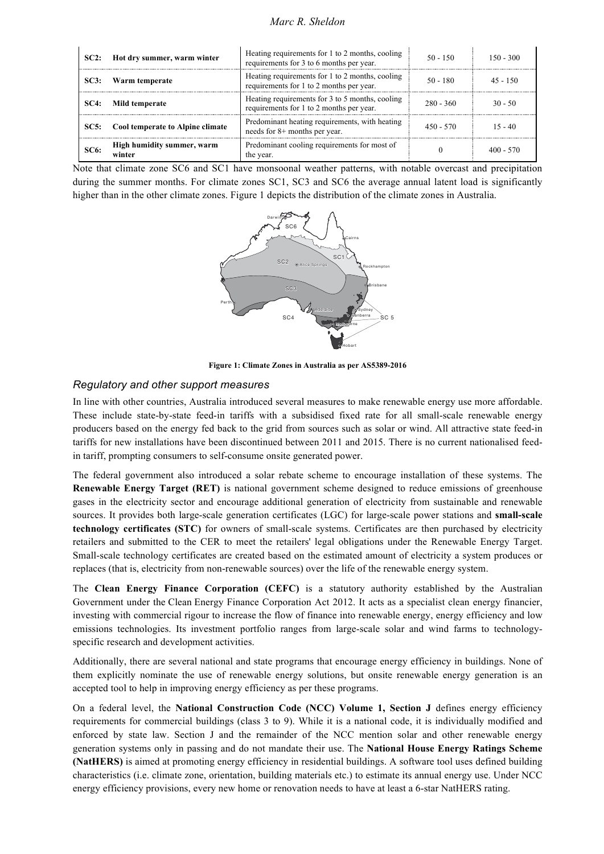*Marc R. Sheldon*

| SC2:        | Hot dry summer, warm winter          | Heating requirements for 1 to 2 months, cooling<br>requirements for 3 to 6 months per year. | $50 - 150$ | $150 - 300$ |
|-------------|--------------------------------------|---------------------------------------------------------------------------------------------|------------|-------------|
| SC3:        | Warm temperate                       | Heating requirements for 1 to 2 months, cooling<br>requirements for 1 to 2 months per year. | 50 - 180   | $45 - 150$  |
| SC4:        | Mild temperate                       | Heating requirements for 3 to 5 months, cooling<br>requirements for 1 to 2 months per year. | 280 - 360  | $30 - 50$   |
| <b>SC5:</b> | Cool temperate to Alpine climate     | Predominant heating requirements, with heating<br>needs for 8+ months per year.             | 450 - 570  | $15 - 40$   |
| SC6:        | High humidity summer, warm<br>winter | Predominant cooling requirements for most of<br>the year.                                   |            | $400 - 570$ |

Note that climate zone SC6 and SC1 have monsoonal weather patterns, with notable overcast and precipitation during the summer months. For climate zones SC1, SC3 and SC6 the average annual latent load is significantly higher than in the other climate zones. Figure 1 depicts the distribution of the climate zones in Australia. Licensed to Coolgaia Pty Ltd on 14-Sep-2017. 1 user personal license only for internal use documents per mitted. .<br>n



Figure 1: Climate Zones in Australia as per AS5389-2016

## Regulatory and other support measures

In line with other countries, Australia introduced several measures to make renewable energy use more affordable. These include state-by-state feed-in tariffs with a subsidised fixed rate for all small-scale renewable energy producers based on the energy fed back to the grid from sources such as solar or wind. All attractive state feed-in tariffs for new installations have been discontinued between 2011 and 2015. There is no current nationalised feedin tariff, prompting consumers to self-consume onsite generated power.

The federal government also introduced a solar rebate scheme to encourage installation of these systems. The **Renewable Energy Target (RET)** is national government scheme designed to reduce emissions of greenhouse gases in the electricity sector and encourage additional generation of electricity from sustainable and renewable sources. It provides both large-scale generation certificates (LGC) for large-scale power stations and **small-scale technology certificates (STC)** for owners of small-scale systems. Certificates are then purchased by electricity retailers and submitted to the CER to meet the retailers' legal obligations under the Renewable Energy Target. Small-scale technology certificates are created based on the estimated amount of electricity a system produces or replaces (that is, electricity from non-renewable sources) over the life of the renewable energy system.

The **Clean Energy Finance Corporation (CEFC)** is a statutory authority established by the Australian Government under the Clean Energy Finance Corporation Act 2012. It acts as a specialist clean energy financier, investing with commercial rigour to increase the flow of finance into renewable energy, energy efficiency and low emissions technologies. Its investment portfolio ranges from large-scale solar and wind farms to technologyspecific research and development activities.

Additionally, there are several national and state programs that encourage energy efficiency in buildings. None of them explicitly nominate the use of renewable energy solutions, but onsite renewable energy generation is an accepted tool to help in improving energy efficiency as per these programs.

On a federal level, the **National Construction Code (NCC) Volume 1, Section J** defines energy efficiency requirements for commercial buildings (class 3 to 9). While it is a national code, it is individually modified and enforced by state law. Section J and the remainder of the NCC mention solar and other renewable energy generation systems only in passing and do not mandate their use. The **National House Energy Ratings Scheme (NatHERS)** is aimed at promoting energy efficiency in residential buildings. A software tool uses defined building characteristics (i.e. climate zone, orientation, building materials etc.) to estimate its annual energy use. Under NCC energy efficiency provisions, every new home or renovation needs to have at least a 6-star NatHERS rating.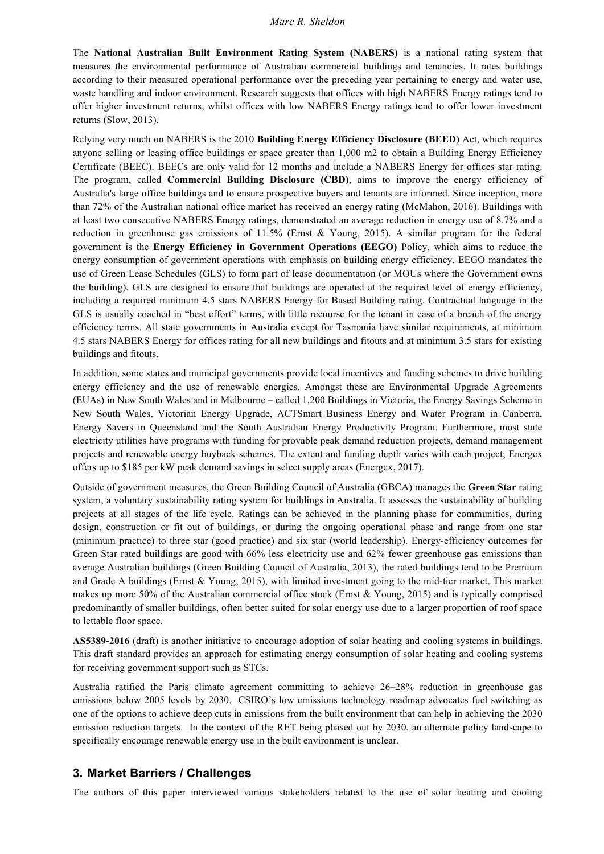The **National Australian Built Environment Rating System (NABERS)** is a national rating system that measures the environmental performance of Australian commercial buildings and tenancies. It rates buildings according to their measured operational performance over the preceding year pertaining to energy and water use, waste handling and indoor environment. Research suggests that offices with high NABERS Energy ratings tend to offer higher investment returns, whilst offices with low NABERS Energy ratings tend to offer lower investment returns (Slow, 2013).

Relying very much on NABERS is the 2010 **Building Energy Efficiency Disclosure (BEED)** Act, which requires anyone selling or leasing office buildings or space greater than 1,000 m2 to obtain a Building Energy Efficiency Certificate (BEEC). BEECs are only valid for 12 months and include a NABERS Energy for offices star rating. The program, called **Commercial Building Disclosure (CBD)**, aims to improve the energy efficiency of Australia's large office buildings and to ensure prospective buyers and tenants are informed. Since inception, more than 72% of the Australian national office market has received an energy rating (McMahon, 2016). Buildings with at least two consecutive NABERS Energy ratings, demonstrated an average reduction in energy use of 8.7% and a reduction in greenhouse gas emissions of 11.5% (Ernst & Young, 2015). A similar program for the federal government is the **Energy Efficiency in Government Operations (EEGO)** Policy, which aims to reduce the energy consumption of government operations with emphasis on building energy efficiency. EEGO mandates the use of Green Lease Schedules (GLS) to form part of lease documentation (or MOUs where the Government owns the building). GLS are designed to ensure that buildings are operated at the required level of energy efficiency, including a required minimum 4.5 stars NABERS Energy for Based Building rating. Contractual language in the GLS is usually coached in "best effort" terms, with little recourse for the tenant in case of a breach of the energy efficiency terms. All state governments in Australia except for Tasmania have similar requirements, at minimum 4.5 stars NABERS Energy for offices rating for all new buildings and fitouts and at minimum 3.5 stars for existing buildings and fitouts.

In addition, some states and municipal governments provide local incentives and funding schemes to drive building energy efficiency and the use of renewable energies. Amongst these are Environmental Upgrade Agreements (EUAs) in New South Wales and in Melbourne – called 1,200 Buildings in Victoria, the Energy Savings Scheme in New South Wales, Victorian Energy Upgrade, ACTSmart Business Energy and Water Program in Canberra, Energy Savers in Queensland and the South Australian Energy Productivity Program. Furthermore, most state electricity utilities have programs with funding for provable peak demand reduction projects, demand management projects and renewable energy buyback schemes. The extent and funding depth varies with each project; Energex offers up to \$185 per kW peak demand savings in select supply areas (Energex, 2017).

Outside of government measures, the Green Building Council of Australia (GBCA) manages the **Green Star** rating system, a voluntary sustainability rating system for buildings in Australia. It assesses the sustainability of building projects at all stages of the life cycle. Ratings can be achieved in the planning phase for communities, during design, construction or fit out of buildings, or during the ongoing operational phase and range from one star (minimum practice) to three star (good practice) and six star (world leadership). Energy-efficiency outcomes for Green Star rated buildings are good with 66% less electricity use and 62% fewer greenhouse gas emissions than average Australian buildings (Green Building Council of Australia, 2013), the rated buildings tend to be Premium and Grade A buildings (Ernst & Young, 2015), with limited investment going to the mid-tier market. This market makes up more 50% of the Australian commercial office stock (Ernst & Young, 2015) and is typically comprised predominantly of smaller buildings, often better suited for solar energy use due to a larger proportion of roof space to lettable floor space.

**AS5389-2016** (draft) is another initiative to encourage adoption of solar heating and cooling systems in buildings. This draft standard provides an approach for estimating energy consumption of solar heating and cooling systems for receiving government support such as STCs.

Australia ratified the Paris climate agreement committing to achieve 26–28% reduction in greenhouse gas emissions below 2005 levels by 2030. CSIRO's low emissions technology roadmap advocates fuel switching as one of the options to achieve deep cuts in emissions from the built environment that can help in achieving the 2030 emission reduction targets. In the context of the RET being phased out by 2030, an alternate policy landscape to specifically encourage renewable energy use in the built environment is unclear.

## **3. Market Barriers / Challenges**

The authors of this paper interviewed various stakeholders related to the use of solar heating and cooling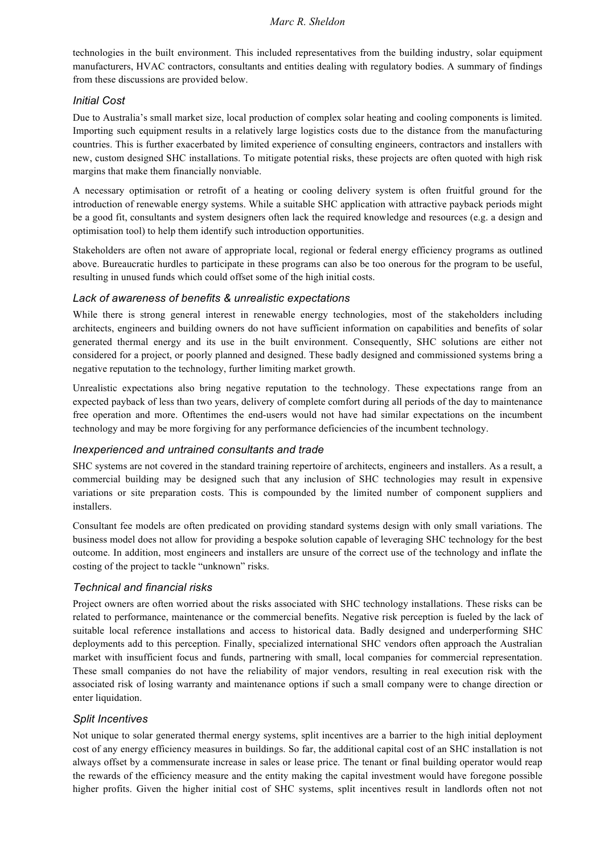technologies in the built environment. This included representatives from the building industry, solar equipment manufacturers, HVAC contractors, consultants and entities dealing with regulatory bodies. A summary of findings from these discussions are provided below.

### *Initial Cost*

Due to Australia's small market size, local production of complex solar heating and cooling components is limited. Importing such equipment results in a relatively large logistics costs due to the distance from the manufacturing countries. This is further exacerbated by limited experience of consulting engineers, contractors and installers with new, custom designed SHC installations. To mitigate potential risks, these projects are often quoted with high risk margins that make them financially nonviable.

A necessary optimisation or retrofit of a heating or cooling delivery system is often fruitful ground for the introduction of renewable energy systems. While a suitable SHC application with attractive payback periods might be a good fit, consultants and system designers often lack the required knowledge and resources (e.g. a design and optimisation tool) to help them identify such introduction opportunities.

Stakeholders are often not aware of appropriate local, regional or federal energy efficiency programs as outlined above. Bureaucratic hurdles to participate in these programs can also be too onerous for the program to be useful, resulting in unused funds which could offset some of the high initial costs.

### *Lack of awareness of benefits & unrealistic expectations*

While there is strong general interest in renewable energy technologies, most of the stakeholders including architects, engineers and building owners do not have sufficient information on capabilities and benefits of solar generated thermal energy and its use in the built environment. Consequently, SHC solutions are either not considered for a project, or poorly planned and designed. These badly designed and commissioned systems bring a negative reputation to the technology, further limiting market growth.

Unrealistic expectations also bring negative reputation to the technology. These expectations range from an expected payback of less than two years, delivery of complete comfort during all periods of the day to maintenance free operation and more. Oftentimes the end-users would not have had similar expectations on the incumbent technology and may be more forgiving for any performance deficiencies of the incumbent technology.

#### *Inexperienced and untrained consultants and trade*

SHC systems are not covered in the standard training repertoire of architects, engineers and installers. As a result, a commercial building may be designed such that any inclusion of SHC technologies may result in expensive variations or site preparation costs. This is compounded by the limited number of component suppliers and installers.

Consultant fee models are often predicated on providing standard systems design with only small variations. The business model does not allow for providing a bespoke solution capable of leveraging SHC technology for the best outcome. In addition, most engineers and installers are unsure of the correct use of the technology and inflate the costing of the project to tackle "unknown" risks.

## *Technical and financial risks*

Project owners are often worried about the risks associated with SHC technology installations. These risks can be related to performance, maintenance or the commercial benefits. Negative risk perception is fueled by the lack of suitable local reference installations and access to historical data. Badly designed and underperforming SHC deployments add to this perception. Finally, specialized international SHC vendors often approach the Australian market with insufficient focus and funds, partnering with small, local companies for commercial representation. These small companies do not have the reliability of major vendors, resulting in real execution risk with the associated risk of losing warranty and maintenance options if such a small company were to change direction or enter liquidation.

## *Split Incentives*

Not unique to solar generated thermal energy systems, split incentives are a barrier to the high initial deployment cost of any energy efficiency measures in buildings. So far, the additional capital cost of an SHC installation is not always offset by a commensurate increase in sales or lease price. The tenant or final building operator would reap the rewards of the efficiency measure and the entity making the capital investment would have foregone possible higher profits. Given the higher initial cost of SHC systems, split incentives result in landlords often not not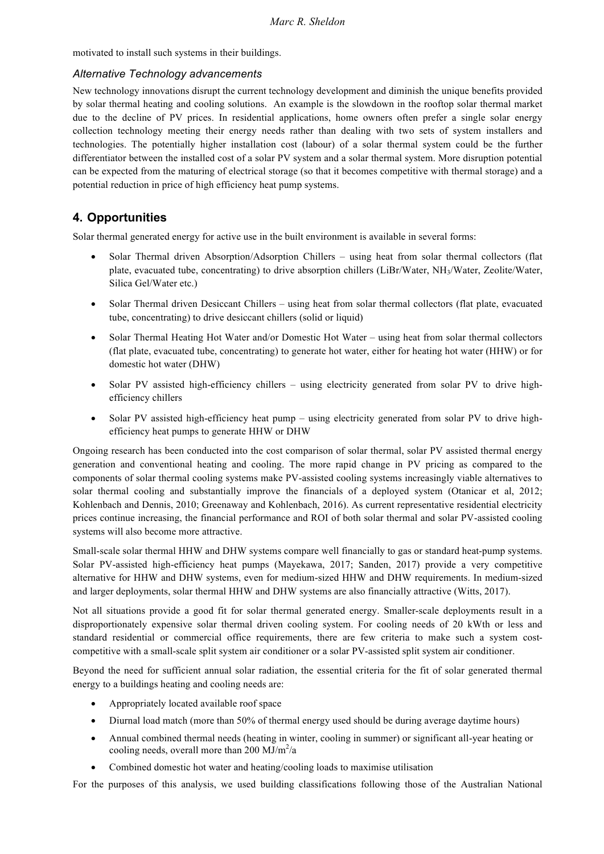motivated to install such systems in their buildings.

## *Alternative Technology advancements*

New technology innovations disrupt the current technology development and diminish the unique benefits provided by solar thermal heating and cooling solutions. An example is the slowdown in the rooftop solar thermal market due to the decline of PV prices. In residential applications, home owners often prefer a single solar energy collection technology meeting their energy needs rather than dealing with two sets of system installers and technologies. The potentially higher installation cost (labour) of a solar thermal system could be the further differentiator between the installed cost of a solar PV system and a solar thermal system. More disruption potential can be expected from the maturing of electrical storage (so that it becomes competitive with thermal storage) and a potential reduction in price of high efficiency heat pump systems.

# **4. Opportunities**

Solar thermal generated energy for active use in the built environment is available in several forms:

- Solar Thermal driven Absorption/Adsorption Chillers using heat from solar thermal collectors (flat plate, evacuated tube, concentrating) to drive absorption chillers (LiBr/Water, NH3/Water, Zeolite/Water, Silica Gel/Water etc.)
- Solar Thermal driven Desiccant Chillers using heat from solar thermal collectors (flat plate, evacuated tube, concentrating) to drive desiccant chillers (solid or liquid)
- Solar Thermal Heating Hot Water and/or Domestic Hot Water using heat from solar thermal collectors (flat plate, evacuated tube, concentrating) to generate hot water, either for heating hot water (HHW) or for domestic hot water (DHW)
- Solar PV assisted high-efficiency chillers using electricity generated from solar PV to drive highefficiency chillers
- Solar PV assisted high-efficiency heat pump using electricity generated from solar PV to drive highefficiency heat pumps to generate HHW or DHW

Ongoing research has been conducted into the cost comparison of solar thermal, solar PV assisted thermal energy generation and conventional heating and cooling. The more rapid change in PV pricing as compared to the components of solar thermal cooling systems make PV-assisted cooling systems increasingly viable alternatives to solar thermal cooling and substantially improve the financials of a deployed system (Otanicar et al, 2012; Kohlenbach and Dennis, 2010; Greenaway and Kohlenbach, 2016). As current representative residential electricity prices continue increasing, the financial performance and ROI of both solar thermal and solar PV-assisted cooling systems will also become more attractive.

Small-scale solar thermal HHW and DHW systems compare well financially to gas or standard heat-pump systems. Solar PV-assisted high-efficiency heat pumps (Mayekawa, 2017; Sanden, 2017) provide a very competitive alternative for HHW and DHW systems, even for medium-sized HHW and DHW requirements. In medium-sized and larger deployments, solar thermal HHW and DHW systems are also financially attractive (Witts, 2017).

Not all situations provide a good fit for solar thermal generated energy. Smaller-scale deployments result in a disproportionately expensive solar thermal driven cooling system. For cooling needs of 20 kWth or less and standard residential or commercial office requirements, there are few criteria to make such a system costcompetitive with a small-scale split system air conditioner or a solar PV-assisted split system air conditioner.

Beyond the need for sufficient annual solar radiation, the essential criteria for the fit of solar generated thermal energy to a buildings heating and cooling needs are:

- Appropriately located available roof space
- Diurnal load match (more than 50% of thermal energy used should be during average daytime hours)
- Annual combined thermal needs (heating in winter, cooling in summer) or significant all-year heating or cooling needs, overall more than 200  $MJ/m^2/a$
- Combined domestic hot water and heating/cooling loads to maximise utilisation

For the purposes of this analysis, we used building classifications following those of the Australian National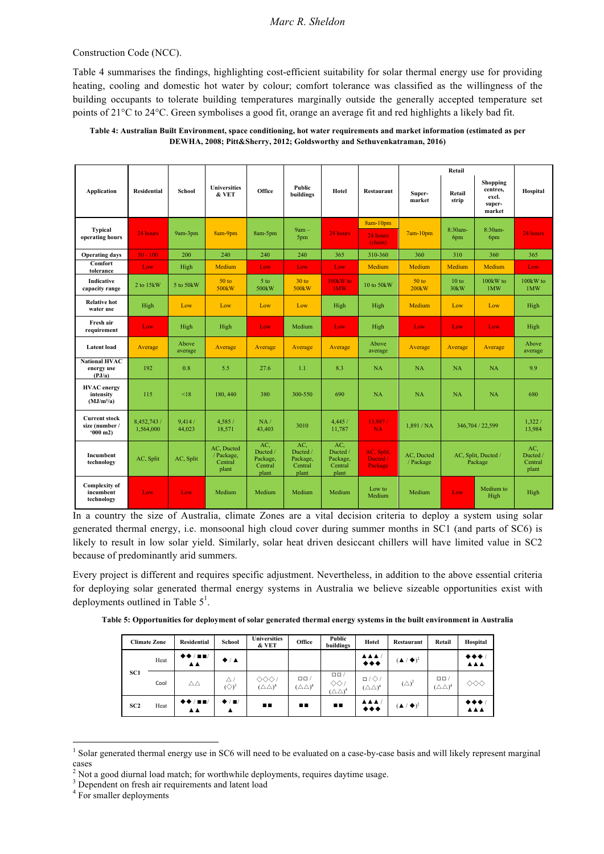#### Construction Code (NCC).

Table 4 summarises the findings, highlighting cost-efficient suitability for solar thermal energy use for providing heating, cooling and domestic hot water by colour; comfort tolerance was classified as the willingness of the building occupants to tolerate building temperatures marginally outside the generally accepted temperature set points of 21°C to 24°C. Green symbolises a good fit, orange an average fit and red highlights a likely bad fit.

#### **Table 4: Australian Built Environment, space conditioning, hot water requirements and market information (estimated as per DEWHA, 2008; Pitt&Sherry, 2012; Goldsworthy and Sethuvenkatraman, 2016)**

|                                                              |                          |                  |                                              |                                                 |                                                 |                                                 |                                   |                           | Retail          |                                                   |                                     |
|--------------------------------------------------------------|--------------------------|------------------|----------------------------------------------|-------------------------------------------------|-------------------------------------------------|-------------------------------------------------|-----------------------------------|---------------------------|-----------------|---------------------------------------------------|-------------------------------------|
| <b>Application</b>                                           | <b>Residential</b>       | School           | <b>Universities</b><br>& VET                 | Office                                          | Public<br>buildings                             | Hotel                                           | <b>Restaurant</b>                 | Super-<br>market          | Retail<br>strip | Shopping<br>centres,<br>excl.<br>super-<br>market | Hospital                            |
| <b>Typical</b><br>operating hours                            | 24 hours                 | 9am-3pm          | 8am-9pm                                      | 8am-5pm                                         | $9am -$<br>5pm                                  | 24 hours                                        | $8am-10pm$<br>24 hours<br>(chain) | $7am-10pm$                | 8:30am-<br>6pm  | 8:30am-<br>6pm                                    | 24 hours                            |
| <b>Operating days</b>                                        | $50 - 100$               | 200              | 240                                          | 240                                             | 240                                             | 365                                             | 310-360                           | 360                       | 310             | 360                                               | 365                                 |
| Comfort<br>tolerance                                         | Low                      | High             | <b>Medium</b>                                | Low                                             | Low                                             | Low                                             | Medium                            | Medium                    | Medium          | Medium                                            | Low                                 |
| Indicative<br>capacity range                                 | 2 to 15kW                | 5 to 50kW        | 50 <sub>to</sub><br>500 <sub>k</sub> W       | 5 <sub>to</sub><br>500 <sub>k</sub> W           | 30 <sub>to</sub><br>500 <sub>k</sub> W          | 100 <sub>k</sub> W to<br>1MW                    | 10 to 50kW                        | 50 <sub>to</sub><br>200kW | 10 to<br>30kW   | 100kW to<br>1MW                                   | 100kW to<br>1MW                     |
| <b>Relative hot</b><br>water use                             | High                     | Low              | Low                                          | Low                                             | Low                                             | High                                            | High                              | Medium                    | Low             | Low                                               | High                                |
| Fresh air<br>requirement                                     | Low                      | High             | High                                         | Low                                             | Medium                                          | Low                                             | High                              | Low                       | Low             | Low                                               | High                                |
| <b>Latent</b> load                                           | Average                  | Above<br>average | Average                                      | Average                                         | Average                                         | Average                                         | Above<br>average                  | Average                   | Average         | Average                                           | Above<br>average                    |
| <b>National HVAC</b><br>energy use<br>(PJ/a)                 | 192                      | 0.8              | 5.5                                          | 27.6                                            | 1.1                                             | 8.3                                             | NA                                | <b>NA</b>                 | NA              | <b>NA</b>                                         | 9.9                                 |
| <b>HVAC</b> energy<br>intensity<br>(MJ/m <sup>2</sup> /a)    | 115                      | < 18             | 180, 440                                     | 380                                             | 300-550                                         | 690                                             | NA                                | <b>NA</b>                 | NA              | NA                                                | 680                                 |
| <b>Current stock</b><br>size (number /<br>$(000 \text{ m2})$ | 8,452,743 /<br>1,564,000 | 9,414/<br>44,023 | 4,585 /<br>18,571                            | NA/<br>43,403                                   | 3010                                            | 4,445 /<br>11,787                               | 13,987/<br><b>NA</b>              | 1.891/NA                  |                 | 346,704 / 22,599                                  | 1.322/<br>13,984                    |
| Incumbent<br>technology                                      | AC, Split                | AC, Split        | AC, Ducted<br>/ Package,<br>Central<br>plant | AC.<br>Ducted /<br>Package,<br>Central<br>plant | AC.<br>Ducted /<br>Package,<br>Central<br>plant | AC,<br>Ducted /<br>Package,<br>Central<br>plant | AC, Split,<br>Ducted /<br>Package | AC. Ducted<br>/ Package   |                 | AC, Split, Ducted /<br>Package                    | AC.<br>Ducted /<br>Central<br>plant |
| <b>Complexity of</b><br>incumbent<br>technology              | Low                      | Low              | Medium                                       | Medium                                          | Medium                                          | Medium                                          | Low to<br>Medium                  | Medium                    | Low             | Medium to<br>High                                 | High                                |

In a country the size of Australia, climate Zones are a vital decision criteria to deploy a system using solar generated thermal energy, i.e. monsoonal high cloud cover during summer months in SC1 (and parts of SC6) is likely to result in low solar yield. Similarly, solar heat driven desiccant chillers will have limited value in SC2 because of predominantly arid summers.

Every project is different and requires specific adjustment. Nevertheless, in addition to the above essential criteria for deploying solar generated thermal energy systems in Australia we believe sizeable opportunities exist with deployments outlined in Table  $5<sup>1</sup>$ .

| Table 5: Opportunities for deployment of solar generated thermal energy systems in the built environment in Australia |  |  |  |  |  |
|-----------------------------------------------------------------------------------------------------------------------|--|--|--|--|--|
|-----------------------------------------------------------------------------------------------------------------------|--|--|--|--|--|

|                 | <b>Climate Zone</b> | <b>Residential</b> | School                           | <b>Universities</b><br>& VET          | Office                              | Public<br>buildings                                            | Hotel                                            | Restaurant                   | Retail                              | Hospital                     |
|-----------------|---------------------|--------------------|----------------------------------|---------------------------------------|-------------------------------------|----------------------------------------------------------------|--------------------------------------------------|------------------------------|-------------------------------------|------------------------------|
|                 | Heat                | ▲▲                 | $\bigstar$ / $\blacktriangle$    |                                       |                                     |                                                                | AAA/<br>$***$                                    | $(\triangle / \triangle )^2$ |                                     | $+ + +$<br><b>AAA</b>        |
| SC1             | Cool                | ΔΔ                 | Δ<br>$(\diamondsuit)^3$          | $\infty$<br>$(\triangle \triangle)^4$ | $\Box$<br>$(\triangle \triangle)^4$ | $\Box$ Box<br>$\Diamond \Diamond$<br>$(\triangle \triangle)^4$ | $\Box / \Diamond /$<br>$(\triangle \triangle)^4$ | $(\triangle)^2$              | $\Box$<br>$(\triangle \triangle)^4$ | $\diamond \diamond \diamond$ |
| SC <sub>2</sub> | Heat                | AA.                | $\bigstar$ / $\blacksquare$<br>▴ | п.                                    | п.                                  | п.                                                             | AAA/<br>$***$                                    | $(\triangle / \triangle )^2$ |                                     | $+ + +$<br><b>AAA</b>        |

<sup>&</sup>lt;sup>1</sup> Solar generated thermal energy use in SC6 will need to be evaluated on a case-by-case basis and will likely represent marginal cases

<sup>2</sup> Not a good diurnal load match; for worthwhile deployments, requires daytime usage.

<sup>&</sup>lt;sup>3</sup> Dependent on fresh air requirements and latent load

<sup>&</sup>lt;sup>4</sup> For smaller deployments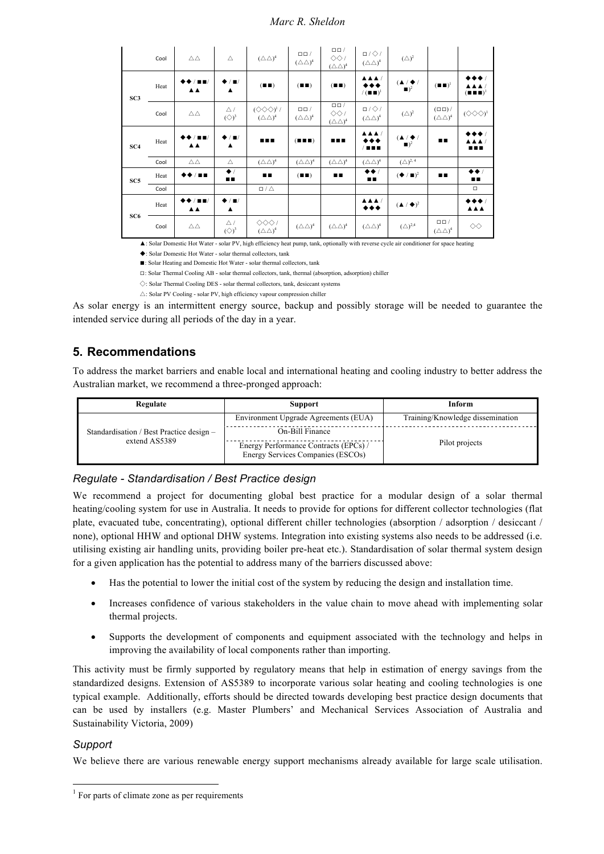|                 | Cool | $\triangle\triangle$                      | Δ                                                 | $(\triangle \triangle)^4$                                         | $\Box$ Box /<br>$(\triangle \triangle)^4$ | $\Box \Box$<br>$\Diamond \Diamond$ /<br>$(\triangle \triangle)^4$                   | $\Box / \Diamond /$<br>$(\triangle \triangle)^4$ | $(\triangle)^2$                                               |                                              |                                                                    |
|-----------------|------|-------------------------------------------|---------------------------------------------------|-------------------------------------------------------------------|-------------------------------------------|-------------------------------------------------------------------------------------|--------------------------------------------------|---------------------------------------------------------------|----------------------------------------------|--------------------------------------------------------------------|
| SC3             | Heat | $\blacksquare$<br><b>AA</b>               | $\bigstar$ / $\blacksquare$ /<br>$\blacktriangle$ | $($ $\blacksquare$ $\blacksquare$ $)$                             | $($ $\blacksquare$ $\blacksquare$ $)$     | (III)                                                                               | A A A<br>◆◆◆<br>$/(\blacksquare \blacksquare)^1$ | $(\triangle / \triangle / )$<br>$\blacksquare$ ) <sup>2</sup> | $(\blacksquare \blacksquare)^1$              | ▸◆◆∥<br><b>AAA</b><br>$(\blacksquare \blacksquare \blacksquare)^1$ |
|                 | Cool | $\triangle \triangle$                     | $\bigtriangleup$ /<br>$(\diamondsuit)^3$          | $(\Diamond \Diamond \Diamond)^{1}$ /<br>$(\triangle \triangle)^4$ | $\Box$ Box<br>$(\triangle \triangle)^4$   | $\overline{\square \square }$<br>$\Diamond \Diamond$ /<br>$(\triangle \triangle)^4$ | $\Box / \Diamond /$<br>$(\triangle \triangle)^4$ | $(\triangle)^2$                                               | $(\Box \Box) /$<br>$(\triangle \triangle)^4$ | $(\diamondsuit \diamondsuit \diamondsuit$ <sup>1</sup>             |
| SC <sub>4</sub> | Heat | ◆/■■/<br><b>AA</b>                        | $\bigstar$ / $\blacksquare$ /<br>$\blacktriangle$ | $\blacksquare$                                                    | $($ <b>n n</b> $)$                        | $\blacksquare$<br>If $\blacksquare$                                                 | AAA/<br>***<br><b>TER</b>                        | $(\triangle / \triangle )$<br>$\blacksquare$ ) <sup>2</sup>   | $\blacksquare$                               | ◆◆◆/<br><b>AAA</b><br>                                             |
|                 | Cool | $\triangle\triangle$                      | $\triangle$                                       | $(\triangle \triangle)^4$                                         | $(\triangle \triangle)^4$                 | $(\triangle \triangle)^4$                                                           | $(\triangle \triangle)^4$                        | $(\triangle)^{2,4}$                                           |                                              |                                                                    |
| SC <sub>5</sub> | Heat | ◆◆/■■                                     | $\bullet$<br>$\blacksquare$                       | $\blacksquare$                                                    | $($ $\blacksquare$ $\blacksquare$ $)$     | п.                                                                                  | $\leftrightarrow$<br><b>D.D.</b>                 | $(\blacklozenge / \blacksquare)^2$                            | $\blacksquare$                               | $\leftrightarrow$<br>$\blacksquare$                                |
|                 | Cool |                                           |                                                   | $\Box / \triangle$                                                |                                           |                                                                                     |                                                  |                                                               |                                              | $\Box$                                                             |
|                 | Heat | $\blacksquare$<br>$\triangle$ $\triangle$ | $\bigstar$ / $\blacksquare$ /<br>$\blacktriangle$ |                                                                   |                                           |                                                                                     | <b>AAA/</b><br>$***$                             | $(\triangle / \triangle )^2$                                  |                                              | $\leftrightarrow\bullet\bullet$<br><b>AAA</b>                      |
| SC6             | Cool | $\triangle\triangle$                      | $\triangle$ /<br>$(\diamondsuit)^3$               | $\Diamond \Diamond \Diamond$ /<br>$(\triangle \triangle)^4$       | $(\triangle \triangle)^4$                 | $(\triangle \triangle)^4$                                                           | $(\triangle \triangle)^4$                        | $(\triangle)^{2,4}$                                           | $\Box \Box$<br>$(\triangle \triangle)^4$     | $\diamondsuit$                                                     |

▲: Solar Domestic Hot Water - solar PV, high efficiency heat pump, tank, optionally with reverse cycle air conditioner for space heating

◆: Solar Domestic Hot Water - solar thermal collectors, tank

■: Solar Heating and Domestic Hot Water - solar thermal collectors, tank

◻: Solar Thermal Cooling AB - solar thermal collectors, tank, thermal (absorption, adsorption) chiller

◇: Solar Thermal Cooling DES - solar thermal collectors, tank, desiccant systems

 $\bigtriangleup$ : Solar PV Cooling - solar PV, high efficiency vapour compression chiller

As solar energy is an intermittent energy source, backup and possibly storage will be needed to guarantee the intended service during all periods of the day in a year.

## **5. Recommendations**

To address the market barriers and enable local and international heating and cooling industry to better address the Australian market, we recommend a three-pronged approach:

| Regulate                                                  | <b>Support</b>                                                             | Inform                           |  |  |
|-----------------------------------------------------------|----------------------------------------------------------------------------|----------------------------------|--|--|
|                                                           | Environment Upgrade Agreements (EUA)                                       | Training/Knowledge dissemination |  |  |
| Standardisation / Best Practice design -<br>extend AS5389 | On-Bill Finance                                                            |                                  |  |  |
|                                                           | Energy Performance Contracts (EPCs) /<br>Energy Services Companies (ESCOs) | Pilot projects                   |  |  |

## *Regulate - Standardisation / Best Practice design*

We recommend a project for documenting global best practice for a modular design of a solar thermal heating/cooling system for use in Australia. It needs to provide for options for different collector technologies (flat plate, evacuated tube, concentrating), optional different chiller technologies (absorption / adsorption / desiccant / none), optional HHW and optional DHW systems. Integration into existing systems also needs to be addressed (i.e. utilising existing air handling units, providing boiler pre-heat etc.). Standardisation of solar thermal system design for a given application has the potential to address many of the barriers discussed above:

- Has the potential to lower the initial cost of the system by reducing the design and installation time.
- Increases confidence of various stakeholders in the value chain to move ahead with implementing solar thermal projects.
- Supports the development of components and equipment associated with the technology and helps in improving the availability of local components rather than importing.

This activity must be firmly supported by regulatory means that help in estimation of energy savings from the standardized designs. Extension of AS5389 to incorporate various solar heating and cooling technologies is one typical example. Additionally, efforts should be directed towards developing best practice design documents that can be used by installers (e.g. Master Plumbers' and Mechanical Services Association of Australia and Sustainability Victoria, 2009)

## *Support*

We believe there are various renewable energy support mechanisms already available for large scale utilisation.

 $<sup>1</sup>$  For parts of climate zone as per requirements</sup>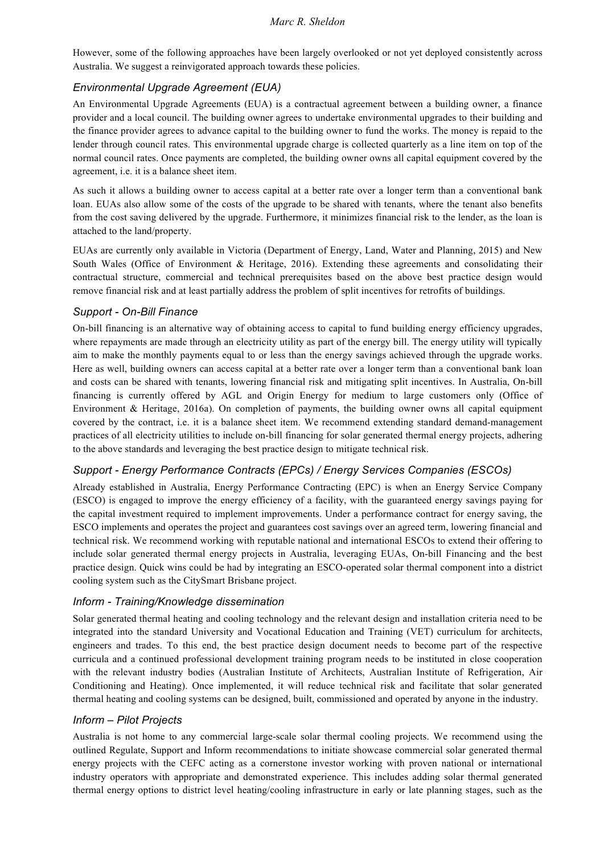However, some of the following approaches have been largely overlooked or not yet deployed consistently across Australia. We suggest a reinvigorated approach towards these policies.

## *Environmental Upgrade Agreement (EUA)*

An Environmental Upgrade Agreements (EUA) is a contractual agreement between a building owner, a finance provider and a local council. The building owner agrees to undertake environmental upgrades to their building and the finance provider agrees to advance capital to the building owner to fund the works. The money is repaid to the lender through council rates. This environmental upgrade charge is collected quarterly as a line item on top of the normal council rates. Once payments are completed, the building owner owns all capital equipment covered by the agreement, i.e. it is a balance sheet item.

As such it allows a building owner to access capital at a better rate over a longer term than a conventional bank loan. EUAs also allow some of the costs of the upgrade to be shared with tenants, where the tenant also benefits from the cost saving delivered by the upgrade. Furthermore, it minimizes financial risk to the lender, as the loan is attached to the land/property.

EUAs are currently only available in Victoria (Department of Energy, Land, Water and Planning, 2015) and New South Wales (Office of Environment & Heritage, 2016). Extending these agreements and consolidating their contractual structure, commercial and technical prerequisites based on the above best practice design would remove financial risk and at least partially address the problem of split incentives for retrofits of buildings.

#### *Support - On-Bill Finance*

On-bill financing is an alternative way of obtaining access to capital to fund building energy efficiency upgrades, where repayments are made through an electricity utility as part of the energy bill. The energy utility will typically aim to make the monthly payments equal to or less than the energy savings achieved through the upgrade works. Here as well, building owners can access capital at a better rate over a longer term than a conventional bank loan and costs can be shared with tenants, lowering financial risk and mitigating split incentives. In Australia, On-bill financing is currently offered by AGL and Origin Energy for medium to large customers only (Office of Environment & Heritage, 2016a). On completion of payments, the building owner owns all capital equipment covered by the contract, i.e. it is a balance sheet item. We recommend extending standard demand-management practices of all electricity utilities to include on-bill financing for solar generated thermal energy projects, adhering to the above standards and leveraging the best practice design to mitigate technical risk.

## *Support - Energy Performance Contracts (EPCs) / Energy Services Companies (ESCOs)*

Already established in Australia, Energy Performance Contracting (EPC) is when an Energy Service Company (ESCO) is engaged to improve the energy efficiency of a facility, with the guaranteed energy savings paying for the capital investment required to implement improvements. Under a performance contract for energy saving, the ESCO implements and operates the project and guarantees cost savings over an agreed term, lowering financial and technical risk. We recommend working with reputable national and international ESCOs to extend their offering to include solar generated thermal energy projects in Australia, leveraging EUAs, On-bill Financing and the best practice design. Quick wins could be had by integrating an ESCO-operated solar thermal component into a district cooling system such as the CitySmart Brisbane project.

### *Inform - Training/Knowledge dissemination*

Solar generated thermal heating and cooling technology and the relevant design and installation criteria need to be integrated into the standard University and Vocational Education and Training (VET) curriculum for architects, engineers and trades. To this end, the best practice design document needs to become part of the respective curricula and a continued professional development training program needs to be instituted in close cooperation with the relevant industry bodies (Australian Institute of Architects, Australian Institute of Refrigeration, Air Conditioning and Heating). Once implemented, it will reduce technical risk and facilitate that solar generated thermal heating and cooling systems can be designed, built, commissioned and operated by anyone in the industry.

#### *Inform – Pilot Projects*

Australia is not home to any commercial large-scale solar thermal cooling projects. We recommend using the outlined Regulate, Support and Inform recommendations to initiate showcase commercial solar generated thermal energy projects with the CEFC acting as a cornerstone investor working with proven national or international industry operators with appropriate and demonstrated experience. This includes adding solar thermal generated thermal energy options to district level heating/cooling infrastructure in early or late planning stages, such as the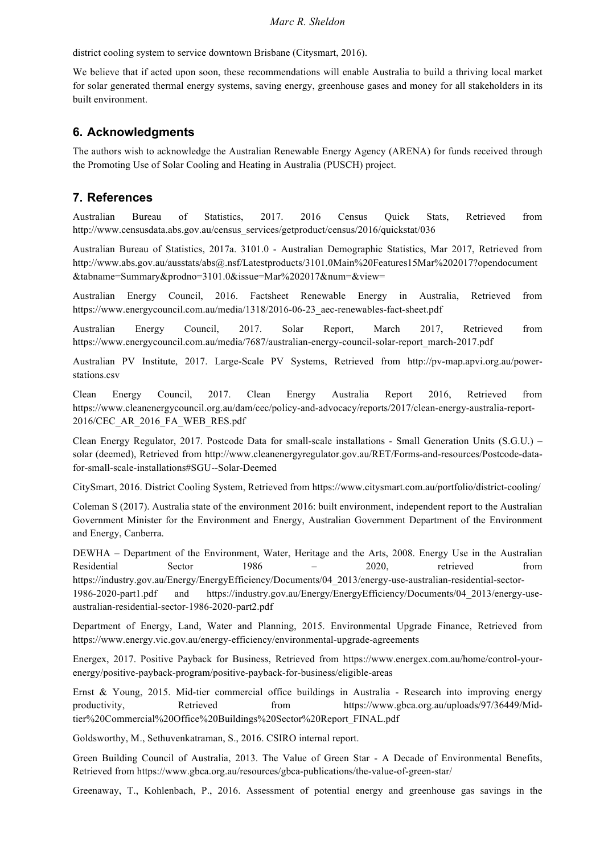district cooling system to service downtown Brisbane (Citysmart, 2016).

We believe that if acted upon soon, these recommendations will enable Australia to build a thriving local market for solar generated thermal energy systems, saving energy, greenhouse gases and money for all stakeholders in its built environment.

## **6. Acknowledgments**

The authors wish to acknowledge the Australian Renewable Energy Agency (ARENA) for funds received through the Promoting Use of Solar Cooling and Heating in Australia (PUSCH) project.

## **7. References**

Australian Bureau of Statistics, 2017. 2016 Census Quick Stats, Retrieved from http://www.censusdata.abs.gov.au/census\_services/getproduct/census/2016/quickstat/036

Australian Bureau of Statistics, 2017a. 3101.0 - Australian Demographic Statistics, Mar 2017, Retrieved from http://www.abs.gov.au/ausstats/abs@.nsf/Latestproducts/3101.0Main%20Features15Mar%202017?opendocument &tabname=Summary&prodno=3101.0&issue=Mar%202017&num=&view=

Australian Energy Council, 2016. Factsheet Renewable Energy in Australia, Retrieved from https://www.energycouncil.com.au/media/1318/2016-06-23\_aec-renewables-fact-sheet.pdf

Australian Energy Council, 2017. Solar Report, March 2017, Retrieved from https://www.energycouncil.com.au/media/7687/australian-energy-council-solar-report\_march-2017.pdf

Australian PV Institute, 2017. Large-Scale PV Systems, Retrieved from http://pv-map.apvi.org.au/powerstations.csv

Clean Energy Council, 2017. Clean Energy Australia Report 2016, Retrieved from https://www.cleanenergycouncil.org.au/dam/cec/policy-and-advocacy/reports/2017/clean-energy-australia-report-2016/CEC\_AR\_2016\_FA\_WEB\_RES.pdf

Clean Energy Regulator, 2017. Postcode Data for small-scale installations - Small Generation Units (S.G.U.) – solar (deemed), Retrieved from http://www.cleanenergyregulator.gov.au/RET/Forms-and-resources/Postcode-datafor-small-scale-installations#SGU--Solar-Deemed

CitySmart, 2016. District Cooling System, Retrieved from https://www.citysmart.com.au/portfolio/district-cooling/

Coleman S (2017). Australia state of the environment 2016: built environment, independent report to the Australian Government Minister for the Environment and Energy, Australian Government Department of the Environment and Energy, Canberra.

DEWHA – Department of the Environment, Water, Heritage and the Arts, 2008. Energy Use in the Australian Residential Sector 1986 – 2020, retrieved from

https://industry.gov.au/Energy/EnergyEfficiency/Documents/04\_2013/energy-use-australian-residential-sector-1986-2020-part1.pdf and https://industry.gov.au/Energy/EnergyEfficiency/Documents/04\_2013/energy-useaustralian-residential-sector-1986-2020-part2.pdf

Department of Energy, Land, Water and Planning, 2015. Environmental Upgrade Finance, Retrieved from https://www.energy.vic.gov.au/energy-efficiency/environmental-upgrade-agreements

Energex, 2017. Positive Payback for Business, Retrieved from https://www.energex.com.au/home/control-yourenergy/positive-payback-program/positive-payback-for-business/eligible-areas

Ernst & Young, 2015. Mid-tier commercial office buildings in Australia - Research into improving energy productivity, Retrieved from https://www.gbca.org.au/uploads/97/36449/Midtier%20Commercial%20Office%20Buildings%20Sector%20Report\_FINAL.pdf

Goldsworthy, M., Sethuvenkatraman, S., 2016. CSIRO internal report.

Green Building Council of Australia, 2013. The Value of Green Star - A Decade of Environmental Benefits, Retrieved from https://www.gbca.org.au/resources/gbca-publications/the-value-of-green-star/

Greenaway, T., Kohlenbach, P., 2016. Assessment of potential energy and greenhouse gas savings in the